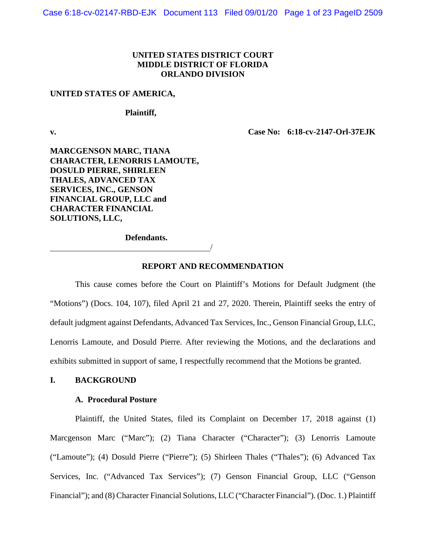## **UNITED STATES DISTRICT COURT MIDDLE DISTRICT OF FLORIDA ORLANDO DIVISION**

#### **UNITED STATES OF AMERICA,**

**Plaintiff,**

**v. Case No: 6:18-cv-2147-Orl-37EJK**

**MARCGENSON MARC, TIANA CHARACTER, LENORRIS LAMOUTE, DOSULD PIERRE, SHIRLEEN THALES, ADVANCED TAX SERVICES, INC., GENSON FINANCIAL GROUP, LLC and CHARACTER FINANCIAL SOLUTIONS, LLC,**

**Defendants.**

#### **REPORT AND RECOMMENDATION**

/

This cause comes before the Court on Plaintiff's Motions for Default Judgment (the "Motions") (Docs. 104, 107), filed April 21 and 27, 2020. Therein, Plaintiff seeks the entry of default judgment against Defendants, Advanced Tax Services, Inc., Genson Financial Group, LLC, Lenorris Lamoute, and Dosuld Pierre. After reviewing the Motions, and the declarations and exhibits submitted in support of same, I respectfully recommend that the Motions be granted.

### **I. BACKGROUND**

### **A. Procedural Posture**

Plaintiff, the United States, filed its Complaint on December 17, 2018 against (1) Marcgenson Marc ("Marc"); (2) Tiana Character ("Character"); (3) Lenorris Lamoute ("Lamoute"); (4) Dosuld Pierre ("Pierre"); (5) Shirleen Thales ("Thales"); (6) Advanced Tax Services, Inc. ("Advanced Tax Services"); (7) Genson Financial Group, LLC ("Genson Financial"); and (8) Character Financial Solutions, LLC ("Character Financial"). (Doc. 1.) Plaintiff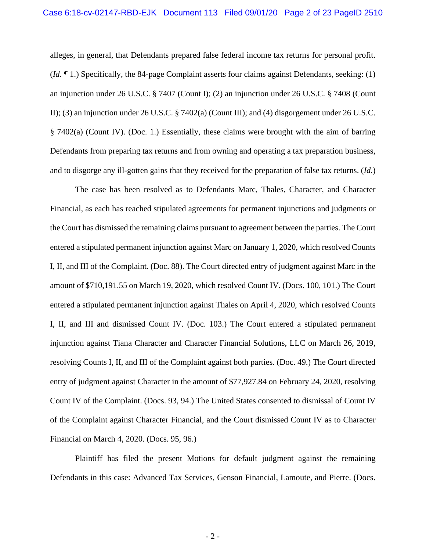alleges, in general, that Defendants prepared false federal income tax returns for personal profit. (*Id.* ¶ 1.) Specifically, the 84-page Complaint asserts four claims against Defendants, seeking: (1) an injunction under 26 U.S.C. § 7407 (Count I); (2) an injunction under 26 U.S.C. § 7408 (Count II); (3) an injunction under 26 U.S.C. § 7402(a) (Count III); and (4) disgorgement under 26 U.S.C. § 7402(a) (Count IV). (Doc. 1.) Essentially, these claims were brought with the aim of barring Defendants from preparing tax returns and from owning and operating a tax preparation business, and to disgorge any ill-gotten gains that they received for the preparation of false tax returns. (*Id.*)

The case has been resolved as to Defendants Marc, Thales, Character, and Character Financial, as each has reached stipulated agreements for permanent injunctions and judgments or the Court has dismissed the remaining claims pursuant to agreement between the parties. The Court entered a stipulated permanent injunction against Marc on January 1, 2020, which resolved Counts I, II, and III of the Complaint. (Doc. 88). The Court directed entry of judgment against Marc in the amount of \$710,191.55 on March 19, 2020, which resolved Count IV. (Docs. 100, 101.) The Court entered a stipulated permanent injunction against Thales on April 4, 2020, which resolved Counts I, II, and III and dismissed Count IV. (Doc. 103.) The Court entered a stipulated permanent injunction against Tiana Character and Character Financial Solutions, LLC on March 26, 2019, resolving Counts I, II, and III of the Complaint against both parties. (Doc. 49.) The Court directed entry of judgment against Character in the amount of \$77,927.84 on February 24, 2020, resolving Count IV of the Complaint. (Docs. 93, 94.) The United States consented to dismissal of Count IV of the Complaint against Character Financial, and the Court dismissed Count IV as to Character Financial on March 4, 2020. (Docs. 95, 96.)

Plaintiff has filed the present Motions for default judgment against the remaining Defendants in this case: Advanced Tax Services, Genson Financial, Lamoute, and Pierre. (Docs.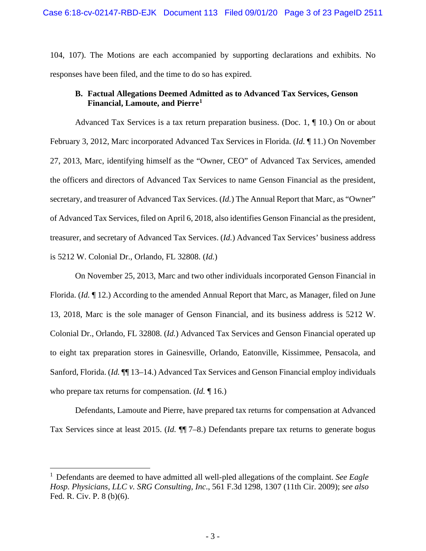104, 107). The Motions are each accompanied by supporting declarations and exhibits. No responses have been filed, and the time to do so has expired.

## **B. Factual Allegations Deemed Admitted as to Advanced Tax Services, Genson Financial, Lamoute, and Pierre[1](#page-2-0)**

Advanced Tax Services is a tax return preparation business. (Doc. 1, ¶ 10.) On or about February 3, 2012, Marc incorporated Advanced Tax Services in Florida. (*Id.* ¶ 11.) On November 27, 2013, Marc, identifying himself as the "Owner, CEO" of Advanced Tax Services, amended the officers and directors of Advanced Tax Services to name Genson Financial as the president, secretary, and treasurer of Advanced Tax Services. (*Id.*) The Annual Report that Marc, as "Owner" of Advanced Tax Services, filed on April 6, 2018, also identifies Genson Financial as the president, treasurer, and secretary of Advanced Tax Services. (*Id.*) Advanced Tax Services' business address is 5212 W. Colonial Dr., Orlando, FL 32808. (*Id.*)

On November 25, 2013, Marc and two other individuals incorporated Genson Financial in Florida. (*Id.* ¶ 12.) According to the amended Annual Report that Marc, as Manager, filed on June 13, 2018, Marc is the sole manager of Genson Financial, and its business address is 5212 W. Colonial Dr., Orlando, FL 32808. (*Id.*) Advanced Tax Services and Genson Financial operated up to eight tax preparation stores in Gainesville, Orlando, Eatonville, Kissimmee, Pensacola, and Sanford, Florida. (*Id.* ¶¶ 13–14.) Advanced Tax Services and Genson Financial employ individuals who prepare tax returns for compensation. (*Id.* ¶ 16.)

Defendants, Lamoute and Pierre, have prepared tax returns for compensation at Advanced Tax Services since at least 2015. (*Id.* ¶¶ 7–8.) Defendants prepare tax returns to generate bogus

<span id="page-2-0"></span><sup>1</sup> Defendants are deemed to have admitted all well-pled allegations of the complaint. *See Eagle Hosp. Physicians, LLC v. SRG Consulting, Inc*., 561 F.3d 1298, 1307 (11th Cir. 2009); *see also* Fed. R. Civ. P. 8 (b)(6).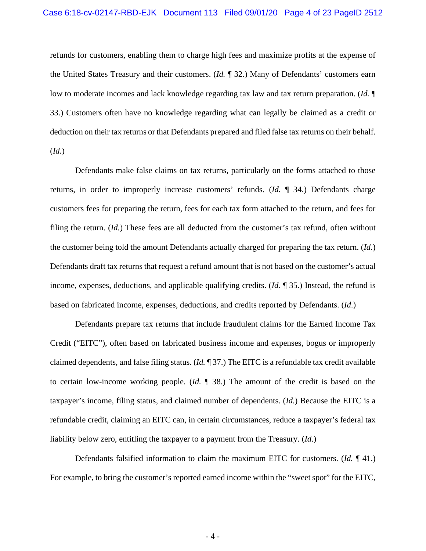refunds for customers, enabling them to charge high fees and maximize profits at the expense of the United States Treasury and their customers. (*Id.* ¶ 32.) Many of Defendants' customers earn low to moderate incomes and lack knowledge regarding tax law and tax return preparation. (*Id.* ¶ 33.) Customers often have no knowledge regarding what can legally be claimed as a credit or deduction on their tax returns or that Defendants prepared and filed false tax returns on their behalf. (*Id.*)

Defendants make false claims on tax returns, particularly on the forms attached to those returns, in order to improperly increase customers' refunds. (*Id.* ¶ 34.) Defendants charge customers fees for preparing the return, fees for each tax form attached to the return, and fees for filing the return. (*Id.*) These fees are all deducted from the customer's tax refund, often without the customer being told the amount Defendants actually charged for preparing the tax return. (*Id.*) Defendants draft tax returns that request a refund amount that is not based on the customer's actual income, expenses, deductions, and applicable qualifying credits. (*Id.* ¶ 35.) Instead, the refund is based on fabricated income, expenses, deductions, and credits reported by Defendants. (*Id*.)

Defendants prepare tax returns that include fraudulent claims for the Earned Income Tax Credit ("EITC"), often based on fabricated business income and expenses, bogus or improperly claimed dependents, and false filing status. (*Id.* ¶ 37.) The EITC is a refundable tax credit available to certain low-income working people. (*Id.* ¶ 38.) The amount of the credit is based on the taxpayer's income, filing status, and claimed number of dependents. (*Id.*) Because the EITC is a refundable credit, claiming an EITC can, in certain circumstances, reduce a taxpayer's federal tax liability below zero, entitling the taxpayer to a payment from the Treasury. (*Id*.)

Defendants falsified information to claim the maximum EITC for customers. (*Id.* ¶ 41.) For example, to bring the customer's reported earned income within the "sweet spot" for the EITC,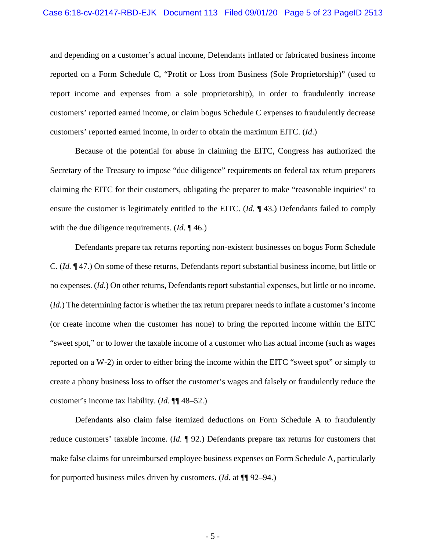and depending on a customer's actual income, Defendants inflated or fabricated business income reported on a Form Schedule C, "Profit or Loss from Business (Sole Proprietorship)" (used to report income and expenses from a sole proprietorship), in order to fraudulently increase customers' reported earned income, or claim bogus Schedule C expenses to fraudulently decrease customers' reported earned income, in order to obtain the maximum EITC. (*Id*.)

Because of the potential for abuse in claiming the EITC, Congress has authorized the Secretary of the Treasury to impose "due diligence" requirements on federal tax return preparers claiming the EITC for their customers, obligating the preparer to make "reasonable inquiries" to ensure the customer is legitimately entitled to the EITC. (*Id.* ¶ 43.) Defendants failed to comply with the due diligence requirements. (*Id*. ¶ 46.)

Defendants prepare tax returns reporting non-existent businesses on bogus Form Schedule C. (*Id.* ¶ 47.) On some of these returns, Defendants report substantial business income, but little or no expenses. (*Id.*) On other returns, Defendants report substantial expenses, but little or no income. (*Id.*) The determining factor is whether the tax return preparer needs to inflate a customer's income (or create income when the customer has none) to bring the reported income within the EITC "sweet spot," or to lower the taxable income of a customer who has actual income (such as wages reported on a W-2) in order to either bring the income within the EITC "sweet spot" or simply to create a phony business loss to offset the customer's wages and falsely or fraudulently reduce the customer's income tax liability. (*Id*. ¶¶ 48–52.)

Defendants also claim false itemized deductions on Form Schedule A to fraudulently reduce customers' taxable income. (*Id.* ¶ 92.) Defendants prepare tax returns for customers that make false claims for unreimbursed employee business expenses on Form Schedule A, particularly for purported business miles driven by customers. (*Id*. at ¶¶ 92–94.)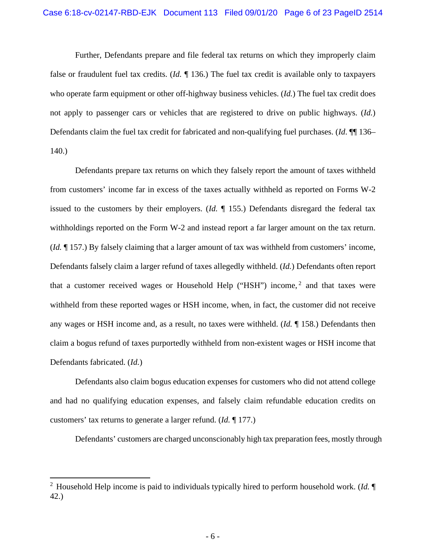Further, Defendants prepare and file federal tax returns on which they improperly claim false or fraudulent fuel tax credits. (*Id.* ¶ 136.) The fuel tax credit is available only to taxpayers who operate farm equipment or other off-highway business vehicles. (*Id.*) The fuel tax credit does not apply to passenger cars or vehicles that are registered to drive on public highways. (*Id.*) Defendants claim the fuel tax credit for fabricated and non-qualifying fuel purchases. (*Id*.  $\P$  136– 140.)

Defendants prepare tax returns on which they falsely report the amount of taxes withheld from customers' income far in excess of the taxes actually withheld as reported on Forms W-2 issued to the customers by their employers. (*Id.* ¶ 155.) Defendants disregard the federal tax withholdings reported on the Form W-2 and instead report a far larger amount on the tax return. (*Id.* ¶ 157.) By falsely claiming that a larger amount of tax was withheld from customers' income, Defendants falsely claim a larger refund of taxes allegedly withheld. (*Id.*) Defendants often report that a customer received wages or Household Help ("HSH") income,<sup>[2](#page-5-0)</sup> and that taxes were withheld from these reported wages or HSH income, when, in fact, the customer did not receive any wages or HSH income and, as a result, no taxes were withheld. (*Id.* ¶ 158.) Defendants then claim a bogus refund of taxes purportedly withheld from non-existent wages or HSH income that Defendants fabricated. (*Id.*)

Defendants also claim bogus education expenses for customers who did not attend college and had no qualifying education expenses, and falsely claim refundable education credits on customers' tax returns to generate a larger refund. (*Id.* ¶ 177.)

Defendants' customers are charged unconscionably high tax preparation fees, mostly through

<span id="page-5-0"></span><sup>2</sup> Household Help income is paid to individuals typically hired to perform household work. (*Id.* ¶ 42.)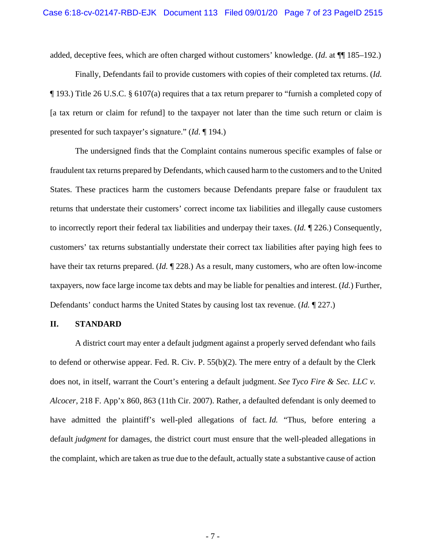added, deceptive fees, which are often charged without customers' knowledge. (*Id*. at ¶¶ 185–192.)

Finally, Defendants fail to provide customers with copies of their completed tax returns. (*Id.* ¶ 193.) Title 26 U.S.C. § 6107(a) requires that a tax return preparer to "furnish a completed copy of [a tax return or claim for refund] to the taxpayer not later than the time such return or claim is presented for such taxpayer's signature." (*Id*. ¶ 194.)

The undersigned finds that the Complaint contains numerous specific examples of false or fraudulent tax returns prepared by Defendants, which caused harm to the customers and to the United States. These practices harm the customers because Defendants prepare false or fraudulent tax returns that understate their customers' correct income tax liabilities and illegally cause customers to incorrectly report their federal tax liabilities and underpay their taxes. (*Id.* ¶ 226.) Consequently, customers' tax returns substantially understate their correct tax liabilities after paying high fees to have their tax returns prepared. (*Id.* ¶ 228.) As a result, many customers, who are often low-income taxpayers, now face large income tax debts and may be liable for penalties and interest. (*Id.*) Further, Defendants' conduct harms the United States by causing lost tax revenue. (*Id.* ¶ 227.)

### **II. STANDARD**

A district court may enter a default judgment against a properly served defendant who fails to defend or otherwise appear. Fed. R. Civ. P. 55(b)(2). The mere entry of a default by the Clerk does not, in itself, warrant the Court's entering a default judgment. *See Tyco Fire & Sec. LLC v. Alcocer*, 218 F. App'x 860, 863 (11th Cir. 2007). Rather, a defaulted defendant is only deemed to have admitted the plaintiff's well-pled allegations of fact. *Id.* "Thus, before entering a default *judgment* for damages, the district court must ensure that the well-pleaded allegations in the complaint, which are taken as true due to the default, actually state a substantive cause of action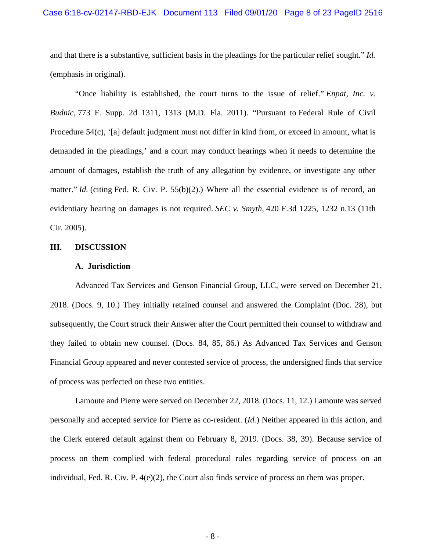and that there is a substantive, sufficient basis in the pleadings for the particular relief sought." *Id.* (emphasis in original).

"Once liability is established, the court turns to the issue of relief." *Enpat, Inc. v. Budnic,* 773 F. Supp. 2d 1311, 1313 (M.D. Fla. 2011). "Pursuant to [Federal](https://1.next.westlaw.com/Link/Document/FullText?findType=L&pubNum=1000600&cite=USFRCPR54&originatingDoc=I677e9a109ef011e8a064bbcf25cb9a66&refType=LQ&originationContext=document&transitionType=DocumentItem&contextData=(sc.History*oc.Search)) Rule of Civil [Procedure](https://1.next.westlaw.com/Link/Document/FullText?findType=L&pubNum=1000600&cite=USFRCPR54&originatingDoc=I677e9a109ef011e8a064bbcf25cb9a66&refType=LQ&originationContext=document&transitionType=DocumentItem&contextData=(sc.History*oc.Search)) 54(c), '[a] default judgment must not differ in kind from, or exceed in amount, what is demanded in the pleadings,' and a court may conduct hearings when it needs to determine the amount of damages, establish the truth of any allegation by evidence, or investigate any other matter." *Id.* (citing Fed. R. Civ. P. [55\(b\)\(2\).](https://1.next.westlaw.com/Link/Document/FullText?findType=L&pubNum=1000600&cite=USFRCPR55&originatingDoc=I677e9a109ef011e8a064bbcf25cb9a66&refType=LQ&originationContext=document&transitionType=DocumentItem&contextData=(sc.History*oc.Search))) Where all the essential evidence is of record, an evidentiary hearing on damages is not required. *SEC v. Smyth,* 420 F.3d 1225, 1232 n.13 (11th Cir. 2005).

### **III. DISCUSSION**

### **A. Jurisdiction**

Advanced Tax Services and Genson Financial Group, LLC, were served on December 21, 2018. (Docs. 9, 10.) They initially retained counsel and answered the Complaint (Doc. 28), but subsequently, the Court struck their Answer after the Court permitted their counsel to withdraw and they failed to obtain new counsel. (Docs. 84, 85, 86.) As Advanced Tax Services and Genson Financial Group appeared and never contested service of process, the undersigned finds that service of process was perfected on these two entities.

Lamoute and Pierre were served on December 22, 2018. (Docs. 11, 12.) Lamoute was served personally and accepted service for Pierre as co-resident. (*Id.*) Neither appeared in this action, and the Clerk entered default against them on February 8, 2019. (Docs. 38, 39). Because service of process on them complied with federal procedural rules regarding service of process on an individual, Fed. R. Civ. P. 4(e)(2), the Court also finds service of process on them was proper.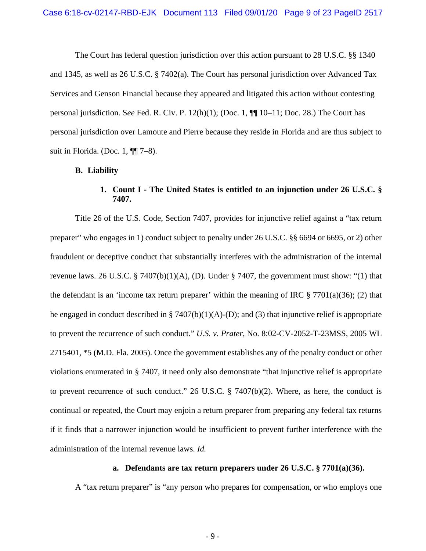The Court has federal question jurisdiction over this action pursuant to 28 U.S.C. §§ 1340 and 1345, as well as 26 U.S.C. § 7402(a). The Court has personal jurisdiction over Advanced Tax Services and Genson Financial because they appeared and litigated this action without contesting personal jurisdiction. S*ee* Fed. R. Civ. P. 12(h)(1); (Doc. 1, ¶¶ 10–11; Doc. 28.) The Court has personal jurisdiction over Lamoute and Pierre because they reside in Florida and are thus subject to suit in Florida. (Doc. 1,  $\P$  $7-8$ ).

### **B. Liability**

# **1. Count I - The United States is entitled to an injunction under 26 U.S.C. § 7407.**

Title 26 of the U.S. Code, Section 7407, provides for injunctive relief against a "tax return preparer" who engages in 1) conduct subject to penalty under 26 U.S.C. §§ 6694 or 6695, or 2) other fraudulent or deceptive conduct that substantially interferes with the administration of the internal revenue laws. 26 U.S.C. § 7407(b)(1)(A), (D). Under § 7407, the government must show: "(1) that the defendant is an 'income tax return preparer' within the meaning of IRC  $\S 7701(a)(36)$ ; (2) that he engaged in conduct described in § 7407(b)(1)(A)-(D); and (3) that injunctive relief is appropriate to prevent the recurrence of such conduct." *U.S. v. Prater*, No. 8:02-CV-2052-T-23MSS, 2005 WL 2715401, \*5 (M.D. Fla. 2005). Once the government establishes any of the penalty conduct or other violations enumerated in § 7407, it need only also demonstrate "that injunctive relief is appropriate to prevent recurrence of such conduct." 26 U.S.C. § 7407(b)(2). Where, as here, the conduct is continual or repeated, the Court may enjoin a return preparer from preparing any federal tax returns if it finds that a narrower injunction would be insufficient to prevent further interference with the administration of the internal revenue laws. *Id.*

### **a. Defendants are tax return preparers under 26 U.S.C. § 7701(a)(36).**

A "tax return preparer" is "any person who prepares for compensation, or who employs one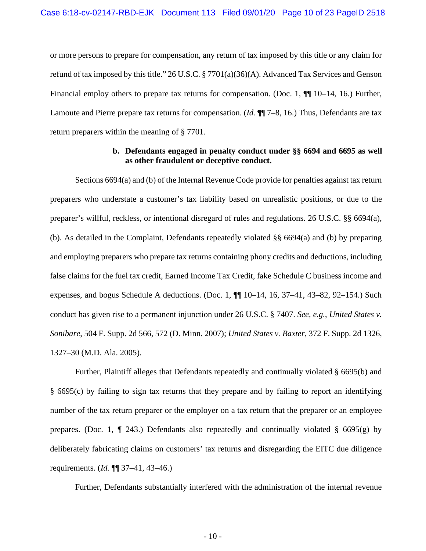or more persons to prepare for compensation, any return of tax imposed by this title or any claim for refund of tax imposed by this title." 26 U.S.C. § 7701(a)(36)(A). Advanced Tax Services and Genson Financial employ others to prepare tax returns for compensation. (Doc. 1,  $\P$  10–14, 16.) Further, Lamoute and Pierre prepare tax returns for compensation. (*Id.* ¶¶ 7–8, 16.) Thus, Defendants are tax return preparers within the meaning of § 7701.

# **b. Defendants engaged in penalty conduct under §§ 6694 and 6695 as well as other fraudulent or deceptive conduct.**

Sections 6694(a) and (b) of the Internal Revenue Code provide for penalties against tax return preparers who understate a customer's tax liability based on unrealistic positions, or due to the preparer's willful, reckless, or intentional disregard of rules and regulations. 26 U.S.C. §§ 6694(a), (b). As detailed in the Complaint, Defendants repeatedly violated §§ 6694(a) and (b) by preparing and employing preparers who prepare tax returns containing phony credits and deductions, including false claims for the fuel tax credit, Earned Income Tax Credit, fake Schedule C business income and expenses, and bogus Schedule A deductions. (Doc. 1,  $\P\P$  10–14, 16, 37–41, 43–82, 92–154.) Such conduct has given rise to a permanent injunction under 26 U.S.C. § 7407. *See, e.g.*, *United States v. Sonibare*, 504 F. Supp. 2d 566, 572 (D. Minn. 2007); *United States v. Baxter*, 372 F. Supp. 2d 1326, 1327–30 (M.D. Ala. 2005).

Further, Plaintiff alleges that Defendants repeatedly and continually violated § 6695(b) and § 6695(c) by failing to sign tax returns that they prepare and by failing to report an identifying number of the tax return preparer or the employer on a tax return that the preparer or an employee prepares. (Doc. 1,  $\P$  243.) Defendants also repeatedly and continually violated § 6695(g) by deliberately fabricating claims on customers' tax returns and disregarding the EITC due diligence requirements. (*Id.* ¶¶ 37–41, 43–46.)

Further, Defendants substantially interfered with the administration of the internal revenue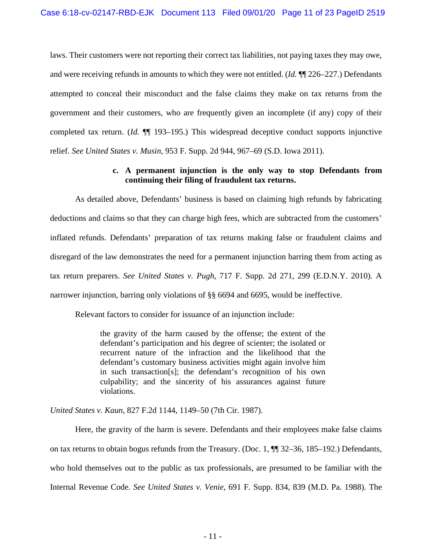laws. Their customers were not reporting their correct tax liabilities, not paying taxes they may owe, and were receiving refunds in amounts to which they were not entitled. (*Id.* ¶¶ 226–227.) Defendants attempted to conceal their misconduct and the false claims they make on tax returns from the government and their customers, who are frequently given an incomplete (if any) copy of their completed tax return. (*Id.* ¶¶ 193–195.) This widespread deceptive conduct supports injunctive relief. *See United States v. Musin*, 953 F. Supp. 2d 944, 967–69 (S.D. Iowa 2011).

## **c. A permanent injunction is the only way to stop Defendants from continuing their filing of fraudulent tax returns.**

As detailed above, Defendants' business is based on claiming high refunds by fabricating deductions and claims so that they can charge high fees, which are subtracted from the customers' inflated refunds. Defendants' preparation of tax returns making false or fraudulent claims and disregard of the law demonstrates the need for a permanent injunction barring them from acting as tax return preparers. *See United States v. Pugh*, 717 F. Supp. 2d 271, 299 (E.D.N.Y. 2010). A narrower injunction, barring only violations of §§ 6694 and 6695, would be ineffective.

Relevant factors to consider for issuance of an injunction include:

the gravity of the harm caused by the offense; the extent of the defendant's participation and his degree of scienter; the isolated or recurrent nature of the infraction and the likelihood that the defendant's customary business activities might again involve him in such transaction[s]; the defendant's recognition of his own culpability; and the sincerity of his assurances against future violations.

*United States v. Kaun*, 827 F.2d 1144, 1149–50 (7th Cir. 1987).

Here, the gravity of the harm is severe. Defendants and their employees make false claims on tax returns to obtain bogus refunds from the Treasury. (Doc. 1, ¶¶ 32–36, 185–192.) Defendants, who hold themselves out to the public as tax professionals, are presumed to be familiar with the Internal Revenue Code. *See United States v. Venie*, 691 F. Supp. 834, 839 (M.D. Pa. 1988). The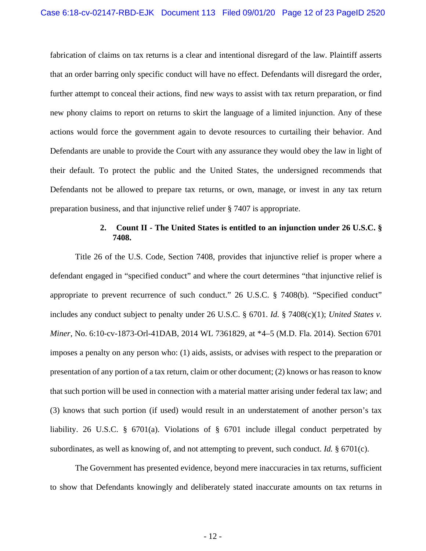fabrication of claims on tax returns is a clear and intentional disregard of the law. Plaintiff asserts that an order barring only specific conduct will have no effect. Defendants will disregard the order, further attempt to conceal their actions, find new ways to assist with tax return preparation, or find new phony claims to report on returns to skirt the language of a limited injunction. Any of these actions would force the government again to devote resources to curtailing their behavior. And Defendants are unable to provide the Court with any assurance they would obey the law in light of their default. To protect the public and the United States, the undersigned recommends that Defendants not be allowed to prepare tax returns, or own, manage, or invest in any tax return preparation business, and that injunctive relief under § 7407 is appropriate.

### **2. Count II - The United States is entitled to an injunction under 26 U.S.C. § 7408.**

Title 26 of the U.S. Code, Section 7408, provides that injunctive relief is proper where a defendant engaged in "specified conduct" and where the court determines "that injunctive relief is appropriate to prevent recurrence of such conduct." 26 U.S.C. § 7408(b). "Specified conduct" includes any conduct subject to penalty under 26 U.S.C. § 6701. *Id.* § 7408(c)(1); *United States v. Miner*, No. 6:10-cv-1873-Orl-41DAB, 2014 WL 7361829, at \*4–5 (M.D. Fla. 2014). Section 6701 imposes a penalty on any person who: (1) aids, assists, or advises with respect to the preparation or presentation of any portion of a tax return, claim or other document; (2) knows or has reason to know that such portion will be used in connection with a material matter arising under federal tax law; and (3) knows that such portion (if used) would result in an understatement of another person's tax liability. 26 U.S.C. § 6701(a). Violations of § 6701 include illegal conduct perpetrated by subordinates, as well as knowing of, and not attempting to prevent, such conduct. *Id.* § 6701(c).

The Government has presented evidence, beyond mere inaccuracies in tax returns, sufficient to show that Defendants knowingly and deliberately stated inaccurate amounts on tax returns in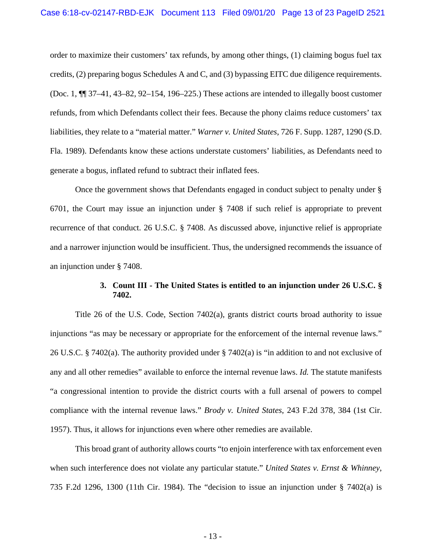order to maximize their customers' tax refunds, by among other things, (1) claiming bogus fuel tax credits, (2) preparing bogus Schedules A and C, and (3) bypassing EITC due diligence requirements. (Doc. 1, ¶¶ 37–41, 43–82, 92–154, 196–225.) These actions are intended to illegally boost customer refunds, from which Defendants collect their fees. Because the phony claims reduce customers' tax liabilities, they relate to a "material matter." *Warner v. United States*, 726 F. Supp. 1287, 1290 (S.D. Fla. 1989). Defendants know these actions understate customers' liabilities, as Defendants need to generate a bogus, inflated refund to subtract their inflated fees.

Once the government shows that Defendants engaged in conduct subject to penalty under § 6701, the Court may issue an injunction under § 7408 if such relief is appropriate to prevent recurrence of that conduct. 26 U.S.C. § 7408. As discussed above, injunctive relief is appropriate and a narrower injunction would be insufficient. Thus, the undersigned recommends the issuance of an injunction under § 7408.

## **3. Count III - The United States is entitled to an injunction under 26 U.S.C. § 7402.**

Title 26 of the U.S. Code, Section 7402(a), grants district courts broad authority to issue injunctions "as may be necessary or appropriate for the enforcement of the internal revenue laws." 26 U.S.C. § 7402(a). The authority provided under § 7402(a) is "in addition to and not exclusive of any and all other remedies" available to enforce the internal revenue laws. *Id.* The statute manifests "a congressional intention to provide the district courts with a full arsenal of powers to compel compliance with the internal revenue laws." *Brody v. United States*, 243 F.2d 378, 384 (1st Cir. 1957). Thus, it allows for injunctions even where other remedies are available.

This broad grant of authority allows courts "to enjoin interference with tax enforcement even when such interference does not violate any particular statute." *United States v. Ernst & Whinney*, 735 F.2d 1296, 1300 (11th Cir. 1984). The "decision to issue an injunction under § 7402(a) is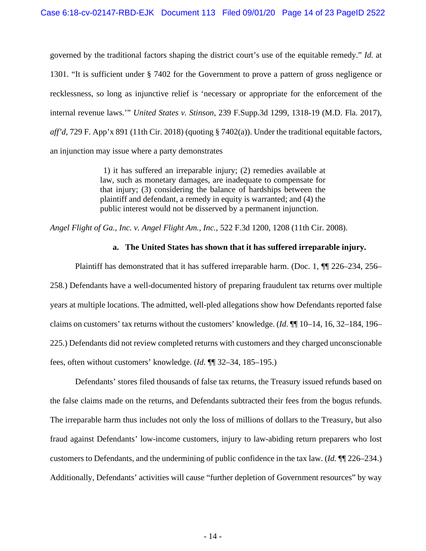governed by the traditional factors shaping the district court's use of the equitable remedy." *Id.* at 1301. "It is sufficient under § 7402 for the Government to prove a pattern of gross negligence or recklessness, so long as injunctive relief is 'necessary or appropriate for the enforcement of the internal revenue laws.'" *United States v. Stinson*, 239 F.Supp.3d 1299, 1318-19 (M.D. Fla. 2017), *aff'd*, 729 F. App'x 891 (11th Cir. 2018) (quoting § 7402(a)). Under the traditional equitable factors, an injunction may issue where a party demonstrates

> 1) it has suffered an irreparable injury; (2) remedies available at law, such as monetary damages, are inadequate to compensate for that injury; (3) considering the balance of hardships between the plaintiff and defendant, a remedy in equity is warranted; and (4) the public interest would not be disserved by a permanent injunction.

*Angel Flight of Ga., Inc. v. Angel Flight Am., Inc.*, 522 F.3d 1200, 1208 (11th Cir. 2008).

### **a. The United States has shown that it has suffered irreparable injury.**

Plaintiff has demonstrated that it has suffered irreparable harm. (Doc. 1, ¶¶ 226–234, 256– 258.) Defendants have a well-documented history of preparing fraudulent tax returns over multiple years at multiple locations. The admitted, well-pled allegations show how Defendants reported false claims on customers' tax returns without the customers' knowledge. (*Id.* ¶¶ 10–14, 16, 32–184, 196– 225.) Defendants did not review completed returns with customers and they charged unconscionable fees, often without customers' knowledge. (*Id.* ¶¶ 32–34, 185–195.)

Defendants' stores filed thousands of false tax returns, the Treasury issued refunds based on the false claims made on the returns, and Defendants subtracted their fees from the bogus refunds. The irreparable harm thus includes not only the loss of millions of dollars to the Treasury, but also fraud against Defendants' low-income customers, injury to law-abiding return preparers who lost customers to Defendants, and the undermining of public confidence in the tax law. (*Id.* ¶¶ 226–234.) Additionally, Defendants' activities will cause "further depletion of Government resources" by way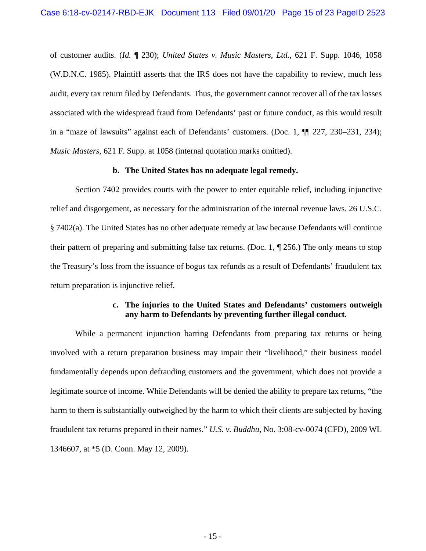of customer audits. (*Id.* ¶ 230); *United States v. Music Masters, Ltd.*, 621 F. Supp. 1046, 1058 (W.D.N.C. 1985). Plaintiff asserts that the IRS does not have the capability to review, much less audit, every tax return filed by Defendants. Thus, the government cannot recover all of the tax losses associated with the widespread fraud from Defendants' past or future conduct, as this would result in a "maze of lawsuits" against each of Defendants' customers. (Doc. 1, ¶¶ 227, 230–231, 234); *Music Masters*, 621 F. Supp. at 1058 (internal quotation marks omitted).

### **b. The United States has no adequate legal remedy.**

Section 7402 provides courts with the power to enter equitable relief, including injunctive relief and disgorgement, as necessary for the administration of the internal revenue laws. 26 U.S.C. § 7402(a). The United States has no other adequate remedy at law because Defendants will continue their pattern of preparing and submitting false tax returns. (Doc. 1,  $\P$  256.) The only means to stop the Treasury's loss from the issuance of bogus tax refunds as a result of Defendants' fraudulent tax return preparation is injunctive relief.

## **c. The injuries to the United States and Defendants' customers outweigh any harm to Defendants by preventing further illegal conduct.**

While a permanent injunction barring Defendants from preparing tax returns or being involved with a return preparation business may impair their "livelihood," their business model fundamentally depends upon defrauding customers and the government, which does not provide a legitimate source of income. While Defendants will be denied the ability to prepare tax returns, "the harm to them is substantially outweighed by the harm to which their clients are subjected by having fraudulent tax returns prepared in their names." *U.S. v. Buddhu*, No. 3:08-cv-0074 (CFD), 2009 WL 1346607, at \*5 (D. Conn. May 12, 2009).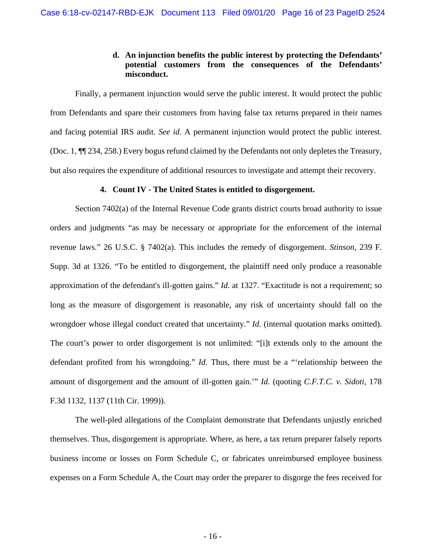# **d. An injunction benefits the public interest by protecting the Defendants' potential customers from the consequences of the Defendants' misconduct.**

Finally, a permanent injunction would serve the public interest. It would protect the public from Defendants and spare their customers from having false tax returns prepared in their names and facing potential IRS audit. *See id*. A permanent injunction would protect the public interest. (Doc. 1, ¶¶ 234, 258.) Every bogus refund claimed by the Defendants not only depletes the Treasury, but also requires the expenditure of additional resources to investigate and attempt their recovery.

### **4. Count IV - The United States is entitled to disgorgement.**

Section 7402(a) of the Internal Revenue Code grants district courts broad authority to issue orders and judgments "as may be necessary or appropriate for the enforcement of the internal revenue laws." 26 U.S.C. § 7402(a). This includes the remedy of disgorgement. *Stinson*, 239 F. Supp. 3d at 1326. "To be entitled to disgorgement, the plaintiff need only produce a reasonable approximation of the defendant's ill-gotten gains." *Id.* at 1327. "Exactitude is not a requirement; so long as the measure of disgorgement is reasonable, any risk of uncertainty should fall on the wrongdoer whose illegal conduct created that uncertainty." *Id.* (internal quotation marks omitted). The court's power to order disgorgement is not unlimited: "[i]t extends only to the amount the defendant profited from his wrongdoing." *Id.* Thus, there must be a "'relationship between the amount of disgorgement and the amount of ill-gotten gain.'" *Id.* (quoting *C.F.T.C. v. Sidoti*, 178 F.3d 1132, 1137 (11th Cir. 1999)).

The well-pled allegations of the Complaint demonstrate that Defendants unjustly enriched themselves. Thus, disgorgement is appropriate. Where, as here, a tax return preparer falsely reports business income or losses on Form Schedule C, or fabricates unreimbursed employee business expenses on a Form Schedule A, the Court may order the preparer to disgorge the fees received for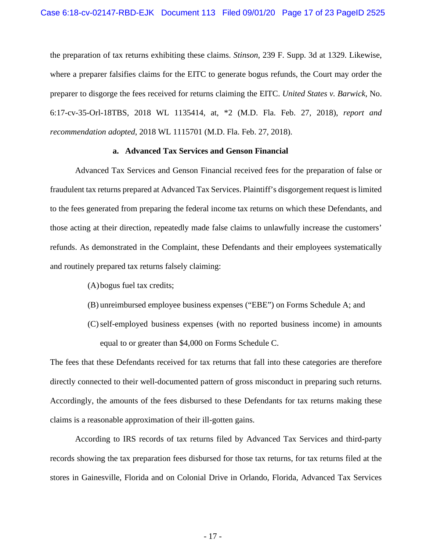the preparation of tax returns exhibiting these claims. *Stinson*, 239 F. Supp. 3d at 1329. Likewise, where a preparer falsifies claims for the EITC to generate bogus refunds, the Court may order the preparer to disgorge the fees received for returns claiming the EITC. *United States v. Barwick*, No. 6:17-cv-35-Orl-18TBS, 2018 WL 1135414, at, \*2 (M.D. Fla. Feb. 27, 2018), *report and recommendation adopted*, 2018 WL 1115701 (M.D. Fla. Feb. 27, 2018).

### **a. Advanced Tax Services and Genson Financial**

Advanced Tax Services and Genson Financial received fees for the preparation of false or fraudulent tax returns prepared at Advanced Tax Services. Plaintiff's disgorgement request is limited to the fees generated from preparing the federal income tax returns on which these Defendants, and those acting at their direction, repeatedly made false claims to unlawfully increase the customers' refunds. As demonstrated in the Complaint, these Defendants and their employees systematically and routinely prepared tax returns falsely claiming:

- (A)bogus fuel tax credits;
- (B) unreimbursed employee business expenses ("EBE") on Forms Schedule A; and
- (C)self-employed business expenses (with no reported business income) in amounts equal to or greater than \$4,000 on Forms Schedule C.

The fees that these Defendants received for tax returns that fall into these categories are therefore directly connected to their well-documented pattern of gross misconduct in preparing such returns. Accordingly, the amounts of the fees disbursed to these Defendants for tax returns making these claims is a reasonable approximation of their ill-gotten gains.

According to IRS records of tax returns filed by Advanced Tax Services and third-party records showing the tax preparation fees disbursed for those tax returns, for tax returns filed at the stores in Gainesville, Florida and on Colonial Drive in Orlando, Florida, Advanced Tax Services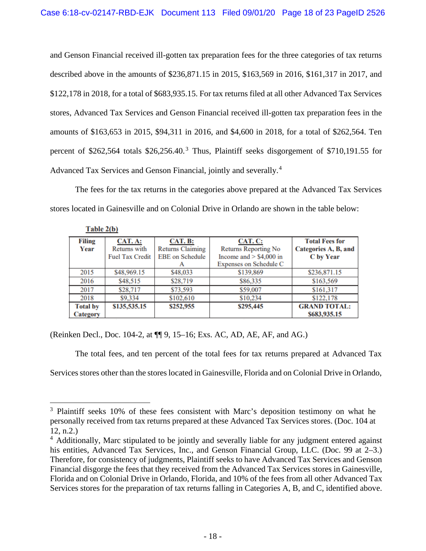and Genson Financial received ill-gotten tax preparation fees for the three categories of tax returns described above in the amounts of \$236,871.15 in 2015, \$163,569 in 2016, \$161,317 in 2017, and \$122,178 in 2018, for a total of \$683,935.15. For tax returns filed at all other Advanced Tax Services stores, Advanced Tax Services and Genson Financial received ill-gotten tax preparation fees in the amounts of \$163,653 in 2015, \$94,311 in 2016, and \$4,600 in 2018, for a total of \$262,564. Ten percent of \$262,564 totals  $$26,256.40$ .<sup>[3](#page-17-0)</sup> Thus, Plaintiff seeks disgorgement of \$710,191.55 for Advanced Tax Services and Genson Financial, jointly and severally.<sup>[4](#page-17-1)</sup>

The fees for the tax returns in the categories above prepared at the Advanced Tax Services stores located in Gainesville and on Colonial Drive in Orlando are shown in the table below:

| <b>Filing</b>   | CAT. A:                | CAT. B:                 | CAT. C:                     | <b>Total Fees for</b> |
|-----------------|------------------------|-------------------------|-----------------------------|-----------------------|
| Year            | Returns with           | <b>Returns Claiming</b> | <b>Returns Reporting No</b> | Categories A, B, and  |
|                 | <b>Fuel Tax Credit</b> | <b>EBE</b> on Schedule  | Income and $>$ \$4,000 in   | C by Year             |
|                 |                        |                         | Expenses on Schedule C      |                       |
| 2015            | \$48,969.15            | \$48,033                | \$139,869                   | \$236,871.15          |
| 2016            | \$48,515               | \$28,719                | \$86,335                    | \$163,569             |
| 2017            | \$28,717               | \$73,593                | \$59,007                    | \$161,317             |
| 2018            | \$9,334                | \$102,610               | \$10,234                    | \$122,178             |
| <b>Total by</b> | \$135,535.15           | \$252,955               | \$295,445                   | <b>GRAND TOTAL:</b>   |
| <b>Category</b> |                        |                         |                             | \$683,935.15          |

Table  $2(b)$ 

(Reinken Decl., Doc. 104-2, at ¶¶ 9, 15–16; Exs. AC, AD, AE, AF, and AG.)

The total fees, and ten percent of the total fees for tax returns prepared at Advanced Tax Services stores other than the stores located in Gainesville, Florida and on Colonial Drive in Orlando,

<span id="page-17-0"></span><sup>&</sup>lt;sup>3</sup> Plaintiff seeks 10% of these fees consistent with Marc's deposition testimony on what he personally received from tax returns prepared at these Advanced Tax Services stores. (Doc. 104 at 12, n.2.) 4 Additionally, Marc stipulated to be jointly and severally liable for any judgment entered against

<span id="page-17-1"></span>his entities, Advanced Tax Services, Inc., and Genson Financial Group, LLC. (Doc. 99 at 2–3.) Therefore, for consistency of judgments, Plaintiff seeks to have Advanced Tax Services and Genson Financial disgorge the fees that they received from the Advanced Tax Services stores in Gainesville, Florida and on Colonial Drive in Orlando, Florida, and 10% of the fees from all other Advanced Tax Services stores for the preparation of tax returns falling in Categories A, B, and C, identified above.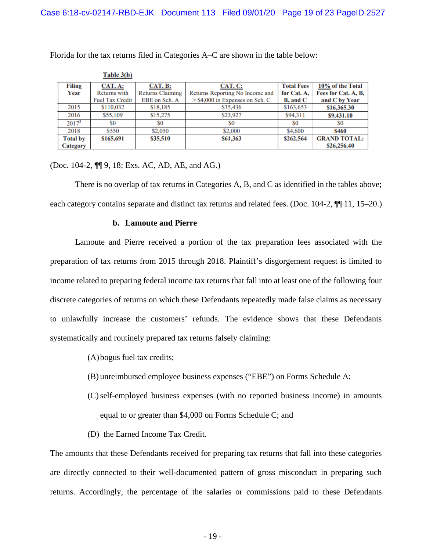|                 | Table $3(b)$           |                         |                                   |                         |                     |
|-----------------|------------------------|-------------------------|-----------------------------------|-------------------------|---------------------|
| Filing          | CAT. A:                | <b>CAT. B:</b>          | CAT. C:                           | <b>Total Fees</b>       | 10% of the Total    |
| Year            | Returns with           | <b>Returns Claiming</b> | Returns Reporting No Income and   | for Cat. A,             | Fees for Cat. A, B, |
|                 | <b>Fuel Tax Credit</b> | EBE on Sch. A           | $>$ \$4,000 in Expenses on Sch. C | <b>B</b> , and <b>C</b> | and C by Year       |
| 2015            | \$110,032              | \$18,185                | \$35,436                          | \$163,653               | \$16,365.30         |
| 2016            | \$55,109               | \$15,275                | \$23,927                          | \$94,311                | \$9,431.10          |
| $2017^3$        | S0                     | S <sub>0</sub>          | S0                                | S <sub>0</sub>          | S0                  |
| 2018            | \$550                  | \$2,050                 | \$2,000                           | \$4,600                 | <b>\$460</b>        |
| <b>Total by</b> | \$165,691              | \$35,510                | \$61,363                          | \$262,564               | <b>GRAND TOTAL:</b> |
| <b>Category</b> |                        |                         |                                   |                         | \$26,256.40         |

Florida for the tax returns filed in Categories A–C are shown in the table below:

(Doc. 104-2, ¶¶ 9, 18; Exs. AC, AD, AE, and AG.)

There is no overlap of tax returns in Categories A, B, and C as identified in the tables above; each category contains separate and distinct tax returns and related fees. (Doc. 104-2,  $\P\P$  11, 15–20.)

### **b. Lamoute and Pierre**

Lamoute and Pierre received a portion of the tax preparation fees associated with the preparation of tax returns from 2015 through 2018. Plaintiff's disgorgement request is limited to income related to preparing federal income tax returns that fall into at least one of the following four discrete categories of returns on which these Defendants repeatedly made false claims as necessary to unlawfully increase the customers' refunds. The evidence shows that these Defendants systematically and routinely prepared tax returns falsely claiming:

- (A)bogus fuel tax credits;
- (B) unreimbursed employee business expenses ("EBE") on Forms Schedule A;
- (C)self-employed business expenses (with no reported business income) in amounts equal to or greater than \$4,000 on Forms Schedule C; and
- (D) the Earned Income Tax Credit.

The amounts that these Defendants received for preparing tax returns that fall into these categories are directly connected to their well-documented pattern of gross misconduct in preparing such returns. Accordingly, the percentage of the salaries or commissions paid to these Defendants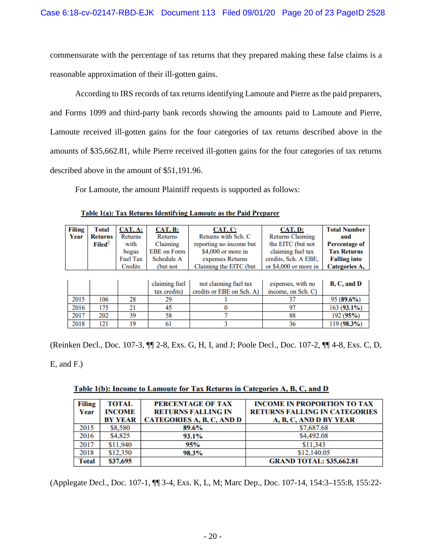commensurate with the percentage of tax returns that they prepared making these false claims is a reasonable approximation of their ill-gotten gains.

According to IRS records of tax returns identifying Lamoute and Pierre as the paid preparers, and Forms 1099 and third-party bank records showing the amounts paid to Lamoute and Pierre, Lamoute received ill-gotten gains for the four categories of tax returns described above in the amounts of \$35,662.81, while Pierre received ill-gotten gains for the four categories of tax returns described above in the amount of \$51,191.96.

For Lamoute, the amount Plaintiff requests is supported as follows:

| Filing | <b>Total</b>       | <b>CAT. A:</b>  | <b>CAT. B:</b>     | CAT. C:                   | CAT. D:                 | <b>Total Number</b>  |
|--------|--------------------|-----------------|--------------------|---------------------------|-------------------------|----------------------|
| Year   | <b>Returns</b>     | Returns         | Returns            | Returns with Sch. C       | <b>Returns Claiming</b> | and                  |
|        | $\mathbf{Filed}^2$ | with            | Claiming           | reporting no income but   | the EITC (but not       | <b>Percentage of</b> |
|        |                    | bogus           | <b>EBE</b> on Form | \$4,000 or more in        | claiming fuel tax       | <b>Tax Returns</b>   |
|        |                    | <b>Fuel Tax</b> | Schedule A         | expenses Returns          | credits, Sch. A EBE,    | <b>Falling into</b>  |
|        |                    | Credits         | (but not           | Claiming the EITC (but    | or \$4,000 or more in   | Categories A,        |
|        |                    |                 |                    |                           |                         |                      |
|        |                    |                 | claiming fuel      | not claiming fuel tax     | expenses, with no       | B, C, and D          |
|        |                    |                 | tax credits)       | credits or EBE on Sch. A) | income, on Sch. C)      |                      |
| 2015   | 106                | 28              | 29                 |                           | 37                      | $95(89.6\%)$         |
| 2016   | 175                | 21              | 45                 |                           | 97                      | 163 (93.1%)          |
| 2017   | 202                | 39              | 58                 |                           | 88                      | 192 (95%)            |
| 2018   | 121                | 19              | 61                 |                           | 36                      | 119 (98.3%)          |

Table 1(a): Tax Returns Identifying Lamoute as the Paid Preparer

(Reinken Decl., Doc. 107-3, ¶¶ 2-8, Exs. G, H, I, and J; Poole Decl., Doc. 107-2, ¶¶ 4-8, Exs. C, D,

E, and F.)

| Table 1(b): Income to Lamoute for Tax Returns in Categories A, B, C, and D |  |
|----------------------------------------------------------------------------|--|
|----------------------------------------------------------------------------|--|

| Filing | TOTAL    | PERCENTAGE OF TAX                | <b>INCOME IN PROPORTION TO TAX</b>   |
|--------|----------|----------------------------------|--------------------------------------|
| Year   | INCOME   | <b>RETURNS FALLING IN</b>        | <b>RETURNS FALLING IN CATEGORIES</b> |
|        | BY YEAR  | <b>CATEGORIES A, B, C, AND D</b> | A, B, C, AND D BY YEAR               |
| 2015   | \$8,580  | 89.6%                            | \$7,687.68                           |
| 2016   | \$4,825  | 93.1%                            | \$4,492.08                           |
| 2017   | \$11,940 | 95%                              | \$11,343                             |
| 2018   | \$12,350 | 98.3%                            | \$12,140.05                          |
| Total  | \$37,695 |                                  | <b>GRAND TOTAL: \$35,662.81</b>      |

(Applegate Decl., Doc. 107-1, ¶¶ 3-4, Exs. K, L, M; Marc Dep., Doc. 107-14, 154:3–155:8, 155:22-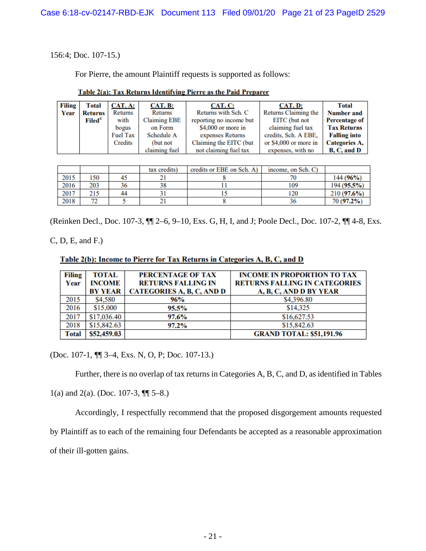156:4; Doc. 107-15.)

For Pierre, the amount Plaintiff requests is supported as follows:

| Filing | <b>Total</b>       | CAT. A:         | <b>CAT. B:</b>      | CAT. C:                 | CAT. D:               | Total                |
|--------|--------------------|-----------------|---------------------|-------------------------|-----------------------|----------------------|
| Year   | Returns            | Returns         | Returns             | Returns with Sch. C     | Returns Claiming the  | <b>Number and</b>    |
|        | Filed <sup>4</sup> | with            | <b>Claiming EBE</b> | reporting no income but | EITC (but not         | <b>Percentage of</b> |
|        |                    | bogus           | on Form             | \$4,000 or more in      | claiming fuel tax     | <b>Tax Returns</b>   |
|        |                    | <b>Fuel Tax</b> | Schedule A          | expenses Returns        | credits, Sch. A EBE,  | <b>Falling into</b>  |
|        |                    | Credits         | (but not            | Claiming the EITC (but  | or \$4,000 or more in | Categories A.        |
|        |                    |                 | claiming fuel       | not claiming fuel tax   | expenses, with no     | B, C, and D          |

### Table 2(a): Tax Returns Identifying Pierre as the Paid Preparer

|      |                 |    | tax credits) | credits or EBE on Sch. A) | income, on Sch. C) |             |
|------|-----------------|----|--------------|---------------------------|--------------------|-------------|
| 2015 | 150             |    |              |                           |                    | 144 (96%)   |
| 2016 | 203             |    |              |                           | 109                | 194 (95.5%) |
| 2017 | 215             | 44 |              |                           | 120                | 210(97.6%)  |
| 2018 | <b>AND</b><br>- |    |              |                           |                    | 70 (97.2%)  |

(Reinken Decl., Doc. 107-3, ¶¶ 2–6, 9–10, Exs. G, H, I, and J; Poole Decl., Doc. 107-2, ¶¶ 4-8, Exs.

C, D, E, and F.)

Table 2(b): Income to Pierre for Tax Returns in Categories A, B, C, and D

| Filing       | TOTAL          | PERCENTAGE OF TAX         | <b>INCOME IN PROPORTION TO TAX</b>   |
|--------------|----------------|---------------------------|--------------------------------------|
| Year         | INCOME         | <b>RETURNS FALLING IN</b> | <b>RETURNS FALLING IN CATEGORIES</b> |
|              | <b>BY YEAR</b> | CATEGORIES A, B, C, AND D | A, B, C, AND D BY YEAR               |
| 2015         | \$4,580        | 96%                       | \$4,396.80                           |
| 2016         | \$15,000       | 95.5%                     | \$14,325                             |
| 2017         | \$17,036.40    | 97.6%                     | \$16,627.53                          |
| 2018         | \$15,842.63    | 97.2%                     | \$15,842.63                          |
| <b>Total</b> | \$52,459.03    |                           | <b>GRAND TOTAL: \$51,191.96</b>      |

(Doc. 107-1, ¶¶ 3–4, Exs. N, O, P; Doc. 107-13.)

Further, there is no overlap of tax returns in Categories A, B, C, and D, as identified in Tables

1(a) and 2(a). (Doc. 107-3,  $\P$  $[$  5–8.)

Accordingly, I respectfully recommend that the proposed disgorgement amounts requested by Plaintiff as to each of the remaining four Defendants be accepted as a reasonable approximation of their ill-gotten gains.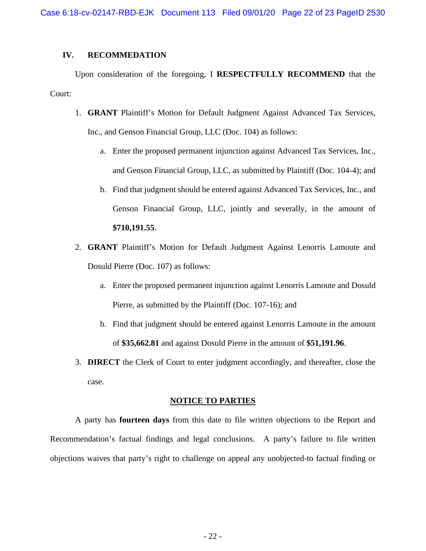## **IV. RECOMMEDATION**

Upon consideration of the foregoing, I **RESPECTFULLY RECOMMEND** that the Court:

- 1. **GRANT** Plaintiff's Motion for Default Judgment Against Advanced Tax Services, Inc., and Genson Financial Group, LLC (Doc. 104) as follows:
	- a. Enter the proposed permanent injunction against Advanced Tax Services, Inc., and Genson Financial Group, LLC, as submitted by Plaintiff (Doc. 104-4); and
	- b. Find that judgment should be entered against Advanced Tax Services, Inc., and Genson Financial Group, LLC, jointly and severally, in the amount of **\$710,191.55**.
- 2. **GRANT** Plaintiff's Motion for Default Judgment Against Lenorris Lamoute and Dosuld Pierre (Doc. 107) as follows:
	- a. Enter the proposed permanent injunction against Lenorris Lamoute and Dosuld Pierre, as submitted by the Plaintiff (Doc. 107-16); and
	- b. Find that judgment should be entered against Lenorris Lamoute in the amount of **\$35,662.81** and against Dosuld Pierre in the amount of **\$51,191.96**.
- 3. **DIRECT** the Clerk of Court to enter judgment accordingly, and thereafter, close the case.

#### **NOTICE TO PARTIES**

A party has **fourteen days** from this date to file written objections to the Report and Recommendation's factual findings and legal conclusions. A party's failure to file written objections waives that party's right to challenge on appeal any unobjected-to factual finding or